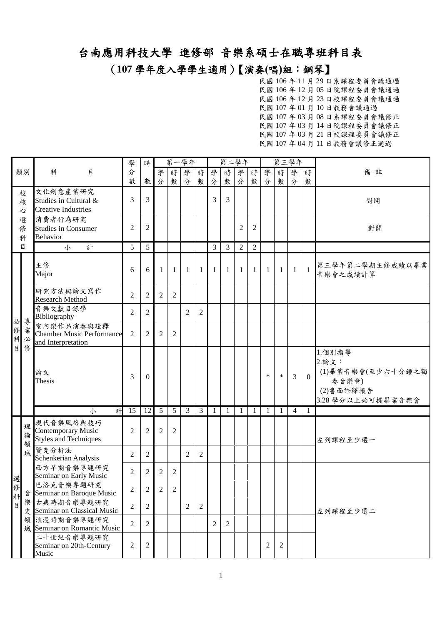(**107** 學年度入學學生適用)【演奏**(**唱**)**組:鋼琴】

|    |             |                                                                        | 學              | 時              |                | 第一學年           |   |                |                |    | 第二學年           |                |                | 第三學年           |                |                |                                                                                 |
|----|-------------|------------------------------------------------------------------------|----------------|----------------|----------------|----------------|---|----------------|----------------|----|----------------|----------------|----------------|----------------|----------------|----------------|---------------------------------------------------------------------------------|
|    | 類別          | 科<br>目                                                                 | 分              |                | 學              | 時              | 學 | 時              | 學              | 時  | 學              | 時              | 學              | 時              | 學              | 時              | 備<br>註                                                                          |
|    |             |                                                                        | 數              | 數              | 分              | 數              | 分 | 數              | 分              | 數  | 分              | 數              | 分              | 數              | 分              | 數              |                                                                                 |
|    | 校<br>核<br>心 | 文化創意產業研究<br>Studies in Cultural &<br><b>Creative Industries</b>        | 3              | 3              |                |                |   |                | 3              | 3  |                |                |                |                |                |                | 對開                                                                              |
|    | 選<br>修<br>科 | 消費者行為研究<br><b>Studies in Consumer</b><br><b>Behavior</b>               | $\overline{2}$ | $\overline{c}$ |                |                |   |                |                |    | 2              | $\overline{c}$ |                |                |                |                | 對開                                                                              |
|    | 目           | 計<br>小                                                                 | 5              | 5              |                |                |   |                | 3              | 3  | $\overline{2}$ | $\mathfrak{2}$ |                |                |                |                |                                                                                 |
|    |             | 主修<br>Major                                                            | 6              | 6              | 1              | $\mathbf{1}$   | 1 | -1             | $\mathbf{1}$   | 1  | 1              | 1              | $\mathbf{1}$   | $\mathbf{1}$   | 1              | $\overline{1}$ | 第三學年第二學期主修成績以畢業<br>音樂會之成績計算                                                     |
|    |             | 研究方法與論文寫作<br><b>Research Method</b>                                    | 2              | 2              | 2              | 2              |   |                |                |    |                |                |                |                |                |                |                                                                                 |
| 必  | 專           | 音樂文獻目錄學<br>Bibliography                                                | 2              | 2              |                |                | 2 | 2              |                |    |                |                |                |                |                |                |                                                                                 |
|    | 修業<br>科必    | 室內樂作品演奏與詮釋<br><b>Chamber Music Performance</b><br>and Interpretation   | $\overline{2}$ | $\overline{c}$ | $\overline{2}$ | 2              |   |                |                |    |                |                |                |                |                |                |                                                                                 |
| 目  | 俢           | 論文<br>Thesis                                                           | 3              | $\Omega$       |                |                |   |                |                |    |                |                | $\ast$         | $\ast$         | 3              | $\mathbf{0}$   | 1.個別指導<br>2. 論文:<br>(1)畢業音樂會(至少六十分鐘之獨<br>奏音樂會)<br>(2)書面詮釋報告<br>3.28學分以上始可提畢業音樂會 |
|    |             | 計<br>小                                                                 | 15             | 12             | $\overline{5}$ | 5              | 3 | $\mathfrak{Z}$ | $\mathbf{1}$   | -1 | 1              | 1              | $\mathbf{1}$   | 1              | $\overline{4}$ | $\mathbf{1}$   |                                                                                 |
|    | 理<br>論<br>領 | 現代音樂風格與技巧<br><b>Contemporary Music</b><br><b>Styles and Techniques</b> | $\overline{2}$ | 2              | $\overline{2}$ | 2              |   |                |                |    |                |                |                |                |                |                | 左列課程至少選一                                                                        |
|    | 域           | 賢克分析法<br>Schenkerian Analysis                                          | 2              | 2              |                |                | 2 | 2              |                |    |                |                |                |                |                |                |                                                                                 |
| 選  |             | 西方早期音樂專題研究<br>Seminar on Early Music                                   | $\overline{2}$ | 2              | 2              | 2              |   |                |                |    |                |                |                |                |                |                |                                                                                 |
| 俢  | 音           | 巴洛克音樂專題研究<br>Seminar on Baroque Music                                  | $\mathfrak{D}$ | $2^{\circ}$    | $\mathfrak{D}$ | $\mathfrak{D}$ |   |                |                |    |                |                |                |                |                |                |                                                                                 |
| 科目 |             | 樂古典時期音樂專題研究<br>史 Seminar on Classical Music                            | $\overline{2}$ | 2              |                |                | 2 | 2              |                |    |                |                |                |                |                |                | 左列課程至少選二                                                                        |
|    |             | 領 浪漫時期音樂專題研究<br>域 Seminar on Romantic Music                            | $\overline{2}$ | $\overline{2}$ |                |                |   |                | $\overline{c}$ | 2  |                |                |                |                |                |                |                                                                                 |
|    |             | 二十世紀音樂專題研究<br>Seminar on 20th-Century<br>Music                         | 2              | $\overline{c}$ |                |                |   |                |                |    |                |                | $\overline{c}$ | $\overline{c}$ |                |                |                                                                                 |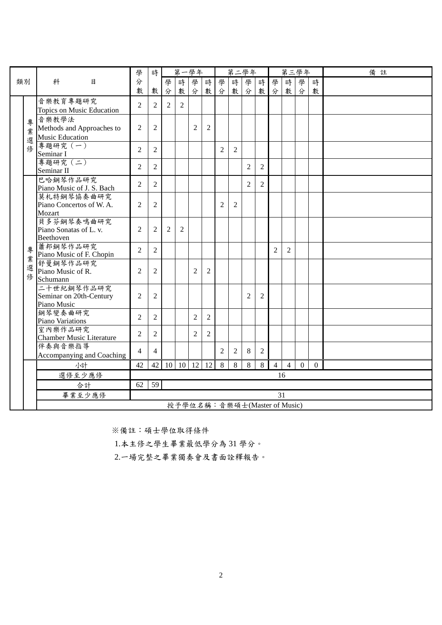|    |                                                 |                                            | 學                                                                    | 時              |   |                | 第一學年                         |                |                | 第二學年           |                |                |                |                | 第三學年           |              | 備註 |
|----|-------------------------------------------------|--------------------------------------------|----------------------------------------------------------------------|----------------|---|----------------|------------------------------|----------------|----------------|----------------|----------------|----------------|----------------|----------------|----------------|--------------|----|
| 類別 |                                                 | 科<br>月                                     | 分                                                                    |                | 學 | 時              | 學                            | 時              | 學              | 時              | 學              | 時              | 學              | 時              | 學              | 時            |    |
|    |                                                 |                                            | 數                                                                    | 數              | 分 | 數              | 分                            | 數              | 分              | 數              | 分              | 數              | 分              | 數              | 分              | 數            |    |
|    |                                                 | 音樂教育專題研究                                   | $\overline{2}$                                                       | 2              | 2 | $\overline{2}$ |                              |                |                |                |                |                |                |                |                |              |    |
|    |                                                 | Topics on Music Education                  |                                                                      |                |   |                |                              |                |                |                |                |                |                |                |                |              |    |
|    | 專                                               | 音樂教學法<br>Methods and Approaches to         | $\overline{c}$                                                       | 2              |   |                | $\overline{c}$               | $\overline{2}$ |                |                |                |                |                |                |                |              |    |
|    | 業                                               | <b>Music Education</b>                     |                                                                      |                |   |                |                              |                |                |                |                |                |                |                |                |              |    |
|    | 選<br>俢                                          | 專題研究 (一)                                   |                                                                      |                |   |                |                              |                |                |                |                |                |                |                |                |              |    |
|    |                                                 | Seminar I                                  | $\overline{2}$                                                       | 2              |   |                |                              |                | 2              | $\overline{2}$ |                |                |                |                |                |              |    |
|    |                                                 | 專題研究 (二)                                   | $\overline{2}$                                                       | $\overline{2}$ |   |                |                              |                |                |                | $\overline{2}$ | $\overline{2}$ |                |                |                |              |    |
|    |                                                 | Seminar II                                 |                                                                      |                |   |                |                              |                |                |                |                |                |                |                |                |              |    |
|    |                                                 | 巴哈鋼琴作品研究<br>Piano Music of J. S. Bach      | $\overline{2}$                                                       | 2              |   |                |                              |                |                |                | $\overline{2}$ | 2              |                |                |                |              |    |
|    |                                                 | 莫札特鋼琴協奏曲研究                                 |                                                                      |                |   |                |                              |                |                |                |                |                |                |                |                |              |    |
|    |                                                 | Piano Concertos of W.A.                    | $\overline{c}$                                                       | $\overline{2}$ |   |                |                              |                | $\mathfrak{D}$ | 2              |                |                |                |                |                |              |    |
|    |                                                 | Mozart                                     |                                                                      |                |   |                |                              |                |                |                |                |                |                |                |                |              |    |
|    |                                                 | 貝多芬鋼琴奏鳴曲研究                                 | $\overline{2}$<br>$\overline{2}$<br>$\overline{c}$<br>$\overline{2}$ |                |   |                |                              |                |                |                |                |                |                |                |                |              |    |
|    |                                                 |                                            |                                                                      |                |   |                |                              |                |                |                |                |                |                |                |                |              |    |
|    | Piano Sonatas of L. v.<br>Beethoven<br>蕭邦鋼琴作品研究 |                                            |                                                                      |                |   |                |                              |                |                |                |                |                |                |                |                |              |    |
|    | 專<br>業                                          | Piano Music of F. Chopin                   | $\overline{2}$<br>$\overline{2}$<br>$\overline{2}$<br>$\overline{2}$ |                |   |                |                              |                |                |                |                |                |                |                |                |              |    |
|    | 選                                               | 舒曼鋼琴作品研究                                   |                                                                      |                |   |                |                              |                |                |                |                |                |                |                |                |              |    |
|    | 俢                                               | Piano Music of R.                          | 2                                                                    | 2              |   |                | 2                            | $\overline{2}$ |                |                |                |                |                |                |                |              |    |
|    |                                                 | Schumann<br>二十世紀鋼琴作品研究                     |                                                                      |                |   |                |                              |                |                |                |                |                |                |                |                |              |    |
|    |                                                 | Seminar on 20th-Century                    | 2                                                                    | 2              |   |                |                              |                |                |                | 2              | 2              |                |                |                |              |    |
|    |                                                 | Piano Music                                |                                                                      |                |   |                |                              |                |                |                |                |                |                |                |                |              |    |
|    |                                                 | 鋼琴變奏曲研究                                    | $\overline{2}$                                                       | 2              |   |                | $\overline{2}$               | $\mathfrak{2}$ |                |                |                |                |                |                |                |              |    |
|    |                                                 | Piano Variations                           |                                                                      |                |   |                |                              |                |                |                |                |                |                |                |                |              |    |
|    |                                                 | 室內樂作品研究<br><b>Chamber Music Literature</b> | $\overline{2}$                                                       | 2              |   |                | $\overline{c}$               | $\overline{2}$ |                |                |                |                |                |                |                |              |    |
|    |                                                 | 伴奏與音樂指導                                    |                                                                      |                |   |                |                              |                |                |                |                |                |                |                |                |              |    |
|    |                                                 | Accompanying and Coaching                  | $\overline{4}$                                                       | $\overline{4}$ |   |                |                              |                | 2              | 2              | 8              | 2              |                |                |                |              |    |
|    |                                                 | 小計                                         | 42                                                                   | 42             |   | 10 10          | 12                           | 12             | 8              | 8              | 8              | 8              | $\overline{4}$ | $\overline{4}$ | $\overline{0}$ | $\mathbf{0}$ |    |
|    |                                                 | 選修至少應修                                     |                                                                      |                |   |                |                              |                |                |                |                |                | 16             |                |                |              |    |
|    |                                                 | 合計                                         | 62                                                                   | 59             |   |                |                              |                |                |                |                |                |                |                |                |              |    |
|    |                                                 | 畢業至少應修                                     |                                                                      |                |   |                |                              |                |                |                |                |                | 31             |                |                |              |    |
|    |                                                 |                                            |                                                                      |                |   |                | 授予學位名稱:音樂碩士(Master of Music) |                |                |                |                |                |                |                |                |              |    |

1.本主修之學生畢業最低學分為 31 學分。

2.一場完整之畢業獨奏會及書面詮釋報告。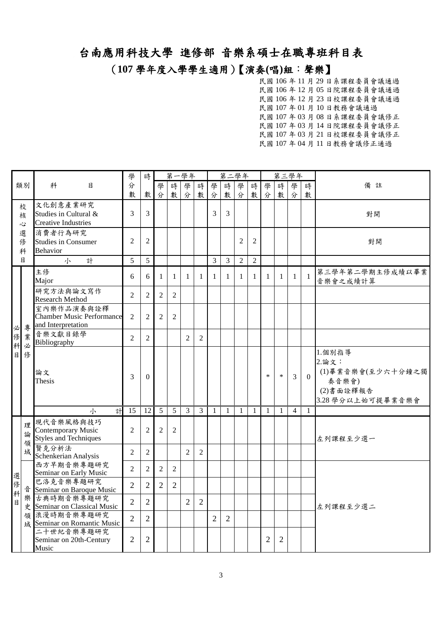(**107** 學年度入學學生適用)【演奏**(**唱**)**組:聲樂】

|             |             |                                                                      | 學              | 時              |                | 第一學年           |                |                |                | 第二學年           |                |                |                | 第三學年           |                |              |                                                                                 |
|-------------|-------------|----------------------------------------------------------------------|----------------|----------------|----------------|----------------|----------------|----------------|----------------|----------------|----------------|----------------|----------------|----------------|----------------|--------------|---------------------------------------------------------------------------------|
|             | 類別          | 目<br>科                                                               | 分              |                | 學              | 時              | 學              | 時              | 學              | 時              | 學              | 時              | 學              | 時              | 學              | 時            | 備<br>註                                                                          |
|             |             |                                                                      | 數              | 數              | 分              | 數              | 分              | 數              | 分              | 數              | 分              | 數              | 分              | 數              | 分              | 數            |                                                                                 |
|             | 校<br>核<br>心 | 文化創意產業研究<br>Studies in Cultural &<br><b>Creative Industries</b>      | 3              | 3              |                |                |                |                | 3              | 3              |                |                |                |                |                |              | 對開                                                                              |
|             | 選<br>俢<br>科 | 消費者行為研究<br><b>Studies in Consumer</b><br><b>Behavior</b>             | 2              | $\mathfrak{2}$ |                |                |                |                |                |                | 2              | $\overline{2}$ |                |                |                |              | 對開                                                                              |
|             | 目           | 計<br>小                                                               | 5              | 5              |                |                |                |                | 3              | $\mathfrak{Z}$ | $\overline{2}$ | $\overline{2}$ |                |                |                |              |                                                                                 |
|             |             | 主修<br>Major                                                          | 6              | 6              | $\mathbf{1}$   | $\mathbf{1}$   | 1              | 1              | 1              | 1              | 1              | 1              | $\mathbf{1}$   | $\mathbf{1}$   | 1              | $\mathbf{1}$ | 第三學年第二學期主修成績以畢業<br>音樂會之成績計算                                                     |
|             |             | 研究方法與論文寫作<br><b>Research Method</b>                                  | $\overline{2}$ | $\overline{2}$ | $\overline{2}$ | $\overline{2}$ |                |                |                |                |                |                |                |                |                |              |                                                                                 |
| 必           | 專           | 室內樂作品演奏與詮釋<br><b>Chamber Music Performance</b><br>and Interpretation | 2              | $\overline{c}$ | $\overline{2}$ | $\overline{c}$ |                |                |                |                |                |                |                |                |                |              |                                                                                 |
| 俢<br>科      | 業<br>必      | 音樂文獻目錄學<br>Bibliography                                              | $\overline{2}$ | $\overline{2}$ |                |                | 2              | $\overline{2}$ |                |                |                |                |                |                |                |              |                                                                                 |
| 目           | 修           | 論文<br>Thesis                                                         | 3              | $\theta$       |                |                |                |                |                |                |                |                | *              | $\ast$         | 3              | $\theta$     | 1.個別指導<br>2.論文:<br>(1)畢業音樂會(至少六十分鐘之獨<br>奏音樂會)<br>(2)書面詮釋報告<br>3.28 學分以上始可提畢業音樂會 |
|             |             | 計<br>小                                                               | 15             | 12             | 5              | 5              | $\overline{3}$ | $\mathfrak{Z}$ | $\mathbf{1}$   | $\mathbf{1}$   | $\mathbf{1}$   | $\mathbf{1}$   | $\mathbf{1}$   | $\mathbf{1}$   | $\overline{4}$ | $\mathbf{1}$ |                                                                                 |
|             | 理<br>論<br>領 | 現代音樂風格與技巧<br>Contemporary Music<br><b>Styles and Techniques</b>      | $\overline{2}$ | $\overline{2}$ | $\overline{2}$ | $\overline{2}$ |                |                |                |                |                |                |                |                |                |              | 左列課程至少選一                                                                        |
|             | 域           | 賢克分析法<br>Schenkerian Analysis                                        | $\overline{2}$ | $\overline{2}$ |                |                | $\overline{2}$ | $\overline{2}$ |                |                |                |                |                |                |                |              |                                                                                 |
| 選           |             | 西方早期音樂專題研究<br>Seminar on Early Music                                 | $\overline{2}$ | $\overline{2}$ | $\overline{2}$ | $\overline{2}$ |                |                |                |                |                |                |                |                |                |              |                                                                                 |
| 俢<br>。<br>科 | 音           | 巴洛克音樂專題研究<br>Seminar on Baroque Music                                | $\overline{2}$ | $\overline{2}$ | $\overline{2}$ | $\overline{2}$ |                |                |                |                |                |                |                |                |                |              |                                                                                 |
| 目           |             | 樂古典時期音樂專題研究<br>史 Seminar on Classical Music                          | $\overline{2}$ | $\overline{2}$ |                |                | $\overline{2}$ | $\overline{2}$ |                |                |                |                |                |                |                |              | 左列課程至少選二                                                                        |
|             |             | 領浪漫時期音樂專題研究<br>域 Seminar on Romantic Music                           | $\overline{2}$ | $\overline{2}$ |                |                |                |                | $\overline{2}$ | $\overline{2}$ |                |                |                |                |                |              |                                                                                 |
|             |             | 二十世紀音樂專題研究<br>Seminar on 20th-Century<br>Music                       | $\overline{2}$ | $\mathfrak{2}$ |                |                |                |                |                |                |                |                | $\overline{2}$ | $\overline{c}$ |                |              |                                                                                 |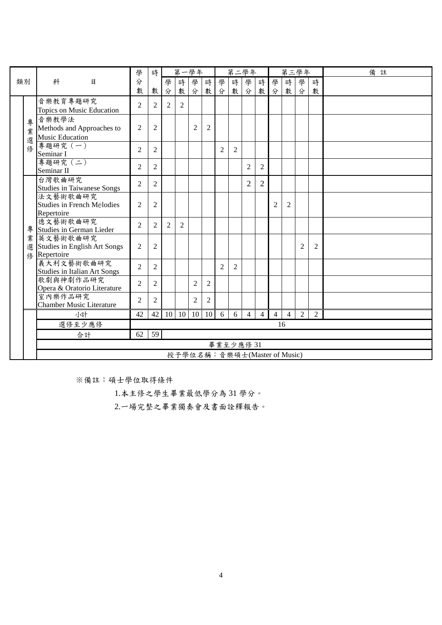|             |                                                                                                                                     | 學              | 時              |   |              | 第一學年                         |                |                | 第二學年      |                |                |                |                | 第三學年 |                | 備註 |
|-------------|-------------------------------------------------------------------------------------------------------------------------------------|----------------|----------------|---|--------------|------------------------------|----------------|----------------|-----------|----------------|----------------|----------------|----------------|------|----------------|----|
| 類別          | 科<br>目                                                                                                                              | 分              |                | 學 | 時            | 學                            | 時              | 學              | 時         | 學              | 時              | 學              | 時              | 學    | 時              |    |
|             |                                                                                                                                     | 數              | 數              | 分 | 數            | 分                            | 數分             |                | 數         | 分              |                | 數分             | 數              | 分    | 數              |    |
|             | 音樂教育專題研究<br>Topics on Music Education                                                                                               | $\overline{2}$ | 2              | 2 | 2            |                              |                |                |           |                |                |                |                |      |                |    |
| 專<br>業<br>選 | 音樂教學法<br>Methods and Approaches to<br><b>Music Education</b>                                                                        | $\overline{2}$ | $\overline{2}$ |   |              | $\overline{c}$               | $\overline{2}$ |                |           |                |                |                |                |      |                |    |
| 俢           | 專題研究 (一)<br>Seminar I                                                                                                               | $\overline{2}$ | 2              |   |              |                              |                | $\overline{2}$ | 2         |                |                |                |                |      |                |    |
|             | 專題研究 (二)<br>Seminar II                                                                                                              | $\overline{2}$ | 2              |   |              |                              |                |                |           | $\overline{c}$ | 2              |                |                |      |                |    |
|             | 台灣歌曲研究<br><b>Studies in Taiwanese Songs</b>                                                                                         | $\overline{2}$ | 2              |   |              |                              |                |                |           | $\overline{2}$ | $\overline{2}$ |                |                |      |                |    |
|             | 法文藝術歌曲研究<br>Studies in French Mélodies<br>Repertoire                                                                                |                |                |   |              |                              |                |                |           | $\overline{2}$ | $\overline{2}$ |                |                |      |                |    |
| 專           | $\overline{2}$<br>$\overline{2}$<br>德文藝術歌曲研究<br>$\overline{2}$<br>$\overline{2}$<br>2<br>$\overline{2}$<br>Studies in German Lieder |                |                |   |              |                              |                |                |           |                |                |                |                |      |                |    |
| 業<br>選<br>修 | 英文藝術歌曲研究<br><b>Studies in English Art Songs</b><br>Repertoire                                                                       | $\overline{2}$ | $\overline{2}$ |   |              |                              |                |                |           |                |                |                |                | 2    | $\overline{2}$ |    |
|             | 義大利文藝術歌曲研究<br><b>Studies in Italian Art Songs</b>                                                                                   | $\overline{2}$ | 2              |   |              |                              |                | $\overline{c}$ | 2         |                |                |                |                |      |                |    |
|             | 歌劇與神劇作品研究<br>Opera & Oratorio Literature                                                                                            | $\overline{2}$ | $\overline{2}$ |   |              | $\overline{c}$               | $\overline{2}$ |                |           |                |                |                |                |      |                |    |
|             | 室內樂作品研究<br><b>Chamber Music Literature</b>                                                                                          | $\overline{2}$ | 2              |   |              | $\overline{2}$               | $\overline{2}$ |                |           |                |                |                |                |      |                |    |
|             | 小計                                                                                                                                  | 42             | 42             |   | $10 \mid 10$ | 10                           | 10             | 6              | 6         | $\overline{4}$ | $\overline{4}$ | $\overline{4}$ | $\overline{4}$ | 2    | 2              |    |
|             | 選修至少應修                                                                                                                              |                |                |   |              |                              |                |                |           |                |                |                | 16             |      |                |    |
|             | 合計                                                                                                                                  | 62             | 59             |   |              |                              |                |                |           |                |                |                |                |      |                |    |
|             |                                                                                                                                     |                |                |   |              |                              |                |                | 畢業至少應修 31 |                |                |                |                |      |                |    |
|             |                                                                                                                                     |                |                |   |              | 授予學位名稱:音樂碩士(Master of Music) |                |                |           |                |                |                |                |      |                |    |

1.本主修之學生畢業最低學分為 31 學分。

2.一場完整之畢業獨奏會及書面詮釋報告。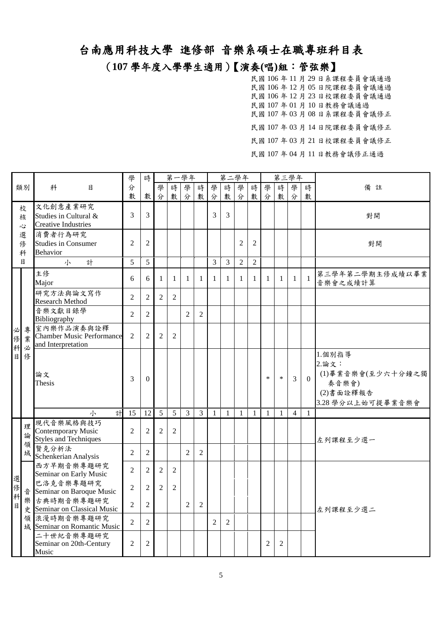#### (**107** 學年度入學學生適用)【演奏**(**唱**)**組:管弦樂】

|             |             |                                                                          | 學                                | 時                                |                | 第一學年           |                |                |                | 第二學年           |                |                |              | 第三學年           |                |              |                                                                                 |
|-------------|-------------|--------------------------------------------------------------------------|----------------------------------|----------------------------------|----------------|----------------|----------------|----------------|----------------|----------------|----------------|----------------|--------------|----------------|----------------|--------------|---------------------------------------------------------------------------------|
|             | 類別          | 科<br>目                                                                   | 分                                |                                  | 學              | 時              | 學              | 時              | 學              | 時              | 學              | 時              | 學            | 時              | 學              | 時            | 備<br>註                                                                          |
|             |             |                                                                          | 數                                | 數                                | 分              | 數              | 分              | 數              | 分              | 數              | 分              |                | 數分           | 數              | 分              | 數            |                                                                                 |
|             | 校<br>核<br>心 | 文化創意產業研究<br>Studies in Cultural &<br><b>Creative Industries</b>          | 3                                | $\mathfrak{Z}$                   |                |                |                |                | 3              | 3              |                |                |              |                |                |              | 對開                                                                              |
|             | 選<br>俢<br>科 | 消費者行為研究<br><b>Studies in Consumer</b><br><b>Behavior</b>                 | $\overline{2}$                   | $\overline{2}$                   |                |                |                |                |                |                | $\overline{2}$ | $\overline{2}$ |              |                |                |              | 對開                                                                              |
|             | 目           | 計<br>小                                                                   | 5                                | 5                                |                |                |                |                | 3              | $\overline{3}$ | $\overline{2}$ | $\overline{2}$ |              |                |                |              |                                                                                 |
|             |             | 主修<br>Major                                                              | 6                                | 6                                | 1              | $\mathbf{1}$   | 1              | 1              | $\mathbf{1}$   | 1              | $\mathbf{1}$   | 1              | $\mathbf{1}$ | 1              | $\mathbf{1}$   | $\mathbf{1}$ | 第三學年第二學期主修成績以畢業<br>音樂會之成績計算                                                     |
|             |             | 研究方法與論文寫作<br><b>Research Method</b>                                      | $\overline{2}$                   | $\overline{2}$                   | $\overline{2}$ | $\overline{2}$ |                |                |                |                |                |                |              |                |                |              |                                                                                 |
|             |             | 音樂文獻目錄學<br>Bibliography                                                  | $\overline{2}$                   | $\overline{2}$                   |                |                | $\overline{2}$ | $\overline{2}$ |                |                |                |                |              |                |                |              |                                                                                 |
| 必<br>俢<br>科 | 專<br>業<br>必 | 室內樂作品演奏與詮釋<br><b>Chamber Music Performance</b><br>and Interpretation     | $\overline{2}$                   | $\overline{2}$                   | $\mathfrak{D}$ | $\overline{2}$ |                |                |                |                |                |                |              |                |                |              |                                                                                 |
| B           | 俢           | 論文<br>Thesis                                                             | 3                                | $\boldsymbol{0}$                 |                |                |                |                |                |                |                |                | $\ast$       | $\ast$         | $\mathfrak{Z}$ | $\theta$     | 1.個別指導<br>2.論文:<br>(1)畢業音樂會(至少六十分鐘之獨<br>奏音樂會)<br>(2)書面詮釋報告<br>3.28 學分以上始可提畢業音樂會 |
|             |             | 計<br>小                                                                   | 15                               | 12                               | 5              | 5              | $\overline{3}$ | $\overline{3}$ | $\mathbf{1}$   | $\mathbf{1}$   | $\mathbf{1}$   | $\mathbf{1}$   | $\mathbf{1}$ | $\mathbf{1}$   | $\overline{4}$ | $\mathbf{1}$ |                                                                                 |
|             | 理<br>論<br>領 | 現代音樂風格與技巧<br>Contemporary Music<br><b>Styles and Techniques</b><br>賢克分析法 | $\overline{2}$<br>$\mathfrak{2}$ | $\mathfrak{2}$<br>$\mathfrak{2}$ | 2              | $\overline{2}$ | $\overline{c}$ | $\mathbf{2}$   |                |                |                |                |              |                |                |              | 左列課程至少選一                                                                        |
|             | 域           | Schenkerian Analysis<br>西方早期音樂專題研究<br>Seminar on Early Music             | $\overline{2}$                   | $\overline{2}$                   | $\overline{2}$ | $\overline{2}$ |                |                |                |                |                |                |              |                |                |              |                                                                                 |
| 選<br>俢<br>科 | 音           | 巴洛克音樂專題研究<br>Seminar on Baroque Music                                    | $\overline{2}$                   | $\overline{2}$                   | $\overline{2}$ | $\overline{2}$ |                |                |                |                |                |                |              |                |                |              |                                                                                 |
| 目           |             | 樂古典時期音樂專題研究<br>史 Seminar on Classical Music                              | $\overline{2}$                   | $\overline{2}$                   |                |                | $\overline{c}$ | $\overline{2}$ |                |                |                |                |              |                |                |              | 左列課程至少選二                                                                        |
|             | 領           | 浪漫時期音樂專題研究<br>域 Seminar on Romantic Music                                | $\overline{2}$                   | $\mathfrak{2}$                   |                |                |                |                | $\overline{2}$ | $\overline{2}$ |                |                |              |                |                |              |                                                                                 |
|             |             | 二十世紀音樂專題研究<br>Seminar on 20th-Century<br>Music                           | $\overline{2}$                   | $\overline{2}$                   |                |                |                |                |                |                |                |                | 2            | $\overline{c}$ |                |              |                                                                                 |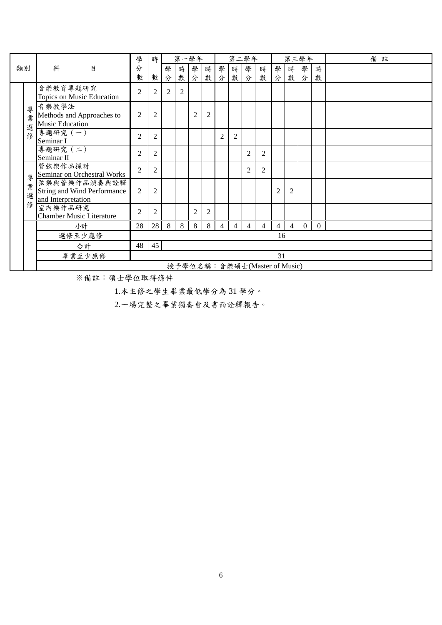|    |             |                                                                          | 學              | 時              |                | 第一學年           |                |                |                | 第二學年           |                |                              |                | 第三學年           |                |                | 備註 |
|----|-------------|--------------------------------------------------------------------------|----------------|----------------|----------------|----------------|----------------|----------------|----------------|----------------|----------------|------------------------------|----------------|----------------|----------------|----------------|----|
| 類別 |             | 目<br>科                                                                   | 分              |                | 學              | 時              | 學              | 時              | 學              | 時              | 學              | 時                            | 學              | 時              | 學              | 時              |    |
|    |             |                                                                          | 數              | 數              | 分              | 數              | 分              | 數              | 分              | 數              | 分              | 數                            | 分              | 數              | 分              | 數              |    |
|    |             | 音樂教育專題研究<br>Topics on Music Education                                    | $\overline{2}$ | $\overline{2}$ | $\overline{c}$ | $\overline{2}$ |                |                |                |                |                |                              |                |                |                |                |    |
|    | 專<br>業<br>選 | 音樂教學法<br>Methods and Approaches to<br><b>Music Education</b>             | $\overline{2}$ | $\overline{2}$ |                |                | 2              | $\overline{c}$ |                |                |                |                              |                |                |                |                |    |
|    | 修           | 專題研究 (一)<br>Seminar I                                                    | $\overline{2}$ | $\overline{2}$ |                |                |                |                | $\overline{2}$ | 2              |                |                              |                |                |                |                |    |
|    |             | 專題研究 (二)<br>Seminar II                                                   | $\overline{2}$ | $\overline{2}$ |                |                |                |                |                |                | $\overline{2}$ | 2                            |                |                |                |                |    |
|    | 專           | 管弦樂作品探討<br>Seminar on Orchestral Works                                   | $\overline{2}$ | $\overline{2}$ |                |                |                |                |                |                | $\overline{2}$ | $\overline{2}$               |                |                |                |                |    |
|    | 業<br>選      | 弦樂與管樂作品演奏與詮釋<br><b>String and Wind Performance</b><br>and Interpretation | $\overline{2}$ | 2              |                |                |                |                |                |                |                |                              | $\overline{2}$ | 2              |                |                |    |
|    | 俢           | 室內樂作品研究<br><b>Chamber Music Literature</b>                               | $\overline{2}$ | $\overline{2}$ |                |                | $\overline{2}$ | 2              |                |                |                |                              |                |                |                |                |    |
|    |             | 小計                                                                       | 28             | 28             | 8              | 8              | 8              | 8              | $\overline{4}$ | $\overline{4}$ | $\overline{4}$ | 4                            | $\overline{4}$ | $\overline{4}$ | $\overline{0}$ | $\overline{0}$ |    |
|    |             | 選修至少應修                                                                   |                |                |                |                |                |                |                |                |                |                              | 16             |                |                |                |    |
|    |             | 合計                                                                       | 48             | 45             |                |                |                |                |                |                |                |                              |                |                |                |                |    |
|    |             | 畢業至少應修                                                                   |                |                |                |                |                |                |                |                |                |                              | 31             |                |                |                |    |
|    |             |                                                                          |                |                |                |                |                |                |                |                |                | 授予學位名稱:音樂碩士(Master of Music) |                |                |                |                |    |

1.本主修之學生畢業最低學分為 31 學分。

2.一場完整之畢業獨奏會及書面詮釋報告。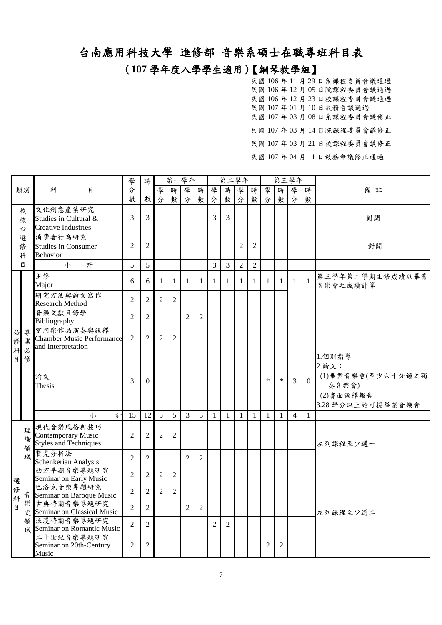# (**107** 學年度入學學生適用)【鋼琴教學組】

民國 106 年 11 月 29 日系課程委員會議通過 民國 106 年 12 月 05 日院課程委員會議通過 民國 106 年 12 月 23 日校課程委員會議通過 民國 107 年 01 月 10 日教務會議通過 民國 107 年 03 月 08 日系課程委員會議修正 民國 107 年 03 月 14 日院課程委員會議修正 民國 107 年 03 月 21 日校課程委員會議修正

民國 107 年 04 月 11 日教務會議修正通過

|             |              |                                                                      | 學              | 時              |                | 第一學年           |                |                |                | 第二學年           |                |                |              | 第三學年         |                |              |                                                                                  |
|-------------|--------------|----------------------------------------------------------------------|----------------|----------------|----------------|----------------|----------------|----------------|----------------|----------------|----------------|----------------|--------------|--------------|----------------|--------------|----------------------------------------------------------------------------------|
|             | 類別           | 科<br>目                                                               | 分              |                | 學              | 時              | 學              | 時              | 學              | 時              | 學              | 時              | 學            | 時            | 學              | 時            | 備註                                                                               |
|             |              |                                                                      | 數              | 數              | 分              | 數              | 分              | 數              | 分              | 數              | 分              | 數              | 分            | 數            | 分              | 數            |                                                                                  |
|             | 校<br>核<br>Š, | 文化創意產業研究<br>Studies in Cultural &<br><b>Creative Industries</b>      | 3              | 3              |                |                |                |                | 3              | 3              |                |                |              |              |                |              | 對開                                                                               |
|             | 選<br>俢<br>科  | 消費者行為研究<br><b>Studies in Consumer</b><br><b>Behavior</b>             | $\overline{2}$ | $\mathfrak{2}$ |                |                |                |                |                |                | $\mathbf{2}$   | $\overline{2}$ |              |              |                |              | 對開                                                                               |
|             | 目            | 小<br>計                                                               | 5              | 5              |                |                |                |                | 3              | $\mathfrak{Z}$ | $\mathfrak{2}$ | $\overline{2}$ |              |              |                |              |                                                                                  |
|             |              | 主修<br>Major                                                          | 6              | 6              | $\mathbf{1}$   | $\mathbf{1}$   | 1              | $\mathbf{1}$   | $\mathbf{1}$   | 1              | 1              | -1             | $\mathbf{1}$ | $\mathbf{1}$ | $\mathbf{1}$   | $\mathbf{1}$ | 第三學年第二學期主修成績以畢業<br>音樂會之成績計算                                                      |
|             |              | 研究方法與論文寫作<br><b>Research Method</b>                                  | $\overline{2}$ | $\mathfrak{2}$ | $\overline{2}$ | $\mathbf{2}$   |                |                |                |                |                |                |              |              |                |              |                                                                                  |
|             |              | 音樂文獻目錄學<br>Bibliography                                              | $\overline{2}$ | $\overline{2}$ |                |                | $\overline{2}$ | $\overline{2}$ |                |                |                |                |              |              |                |              |                                                                                  |
| 必<br>俢<br>科 | 專<br>業<br>必  | 室內樂作品演奏與詮釋<br><b>Chamber Music Performance</b><br>and Interpretation | $\overline{2}$ | $\overline{2}$ | $\overline{2}$ | $\overline{2}$ |                |                |                |                |                |                |              |              |                |              |                                                                                  |
| 目           | 修            | 論文<br>Thesis                                                         | 3              | $\Omega$       |                |                |                |                |                |                |                |                | $\ast$       | $\ast$       | $\overline{3}$ | $\theta$     | 1.個別指導<br>2. 論文:<br>(1)畢業音樂會(至少六十分鐘之獨<br>奏音樂會)<br>(2)書面詮釋報告<br>3.28 學分以上始可提畢業音樂會 |
|             |              | 計<br>小                                                               | 15             | 12             | $\overline{5}$ | 5              | $\overline{3}$ | $\mathfrak{Z}$ | $\mathbf{1}$   | $\mathbf{1}$   | $\mathbf{1}$   | $\overline{1}$ | $\mathbf{1}$ | $\mathbf{1}$ | $\overline{4}$ | $\mathbf{1}$ |                                                                                  |
|             | 理<br>論<br>領  | 現代音樂風格與技巧<br>Contemporary Music<br><b>Styles and Techniques</b>      | $\overline{2}$ | $\overline{2}$ | $\overline{2}$ | $\overline{2}$ |                |                |                |                |                |                |              |              |                |              | 左列課程至少選一                                                                         |
|             | 域            | 賢克分析法<br>Schenkerian Analysis                                        | $\overline{2}$ | $\mathfrak{2}$ |                |                | $\mathfrak{D}$ | $\overline{c}$ |                |                |                |                |              |              |                |              |                                                                                  |
| 選           |              | 西方早期音樂專題研究<br>Seminar on Early Music                                 | $\overline{2}$ | $\overline{2}$ | $\overline{2}$ | $\overline{c}$ |                |                |                |                |                |                |              |              |                |              |                                                                                  |
| 修<br>科      | 音            | 巴洛克音樂專題研究<br>Seminar on Baroque Music                                | $\overline{2}$ | $\overline{2}$ | $\overline{2}$ | $\overline{2}$ |                |                |                |                |                |                |              |              |                |              |                                                                                  |
| 目           |              | 樂古典時期音樂專題研究<br>史 Seminar on Classical Music                          | $\overline{2}$ | $\overline{2}$ |                |                | $\overline{2}$ | $\overline{c}$ |                |                |                |                |              |              |                |              | 左列課程至少選二                                                                         |
|             | 領            | 浪漫時期音樂專題研究<br>域 Seminar on Romantic Music                            | $\overline{2}$ | $\sqrt{2}$     |                |                |                |                | $\overline{c}$ | $\overline{2}$ |                |                |              |              |                |              |                                                                                  |
|             |              | 二十世紀音樂專題研究<br>Seminar on 20th-Century<br>Music                       | $\overline{2}$ | $\overline{2}$ |                |                |                |                |                |                |                |                | 2            | 2            |                |              |                                                                                  |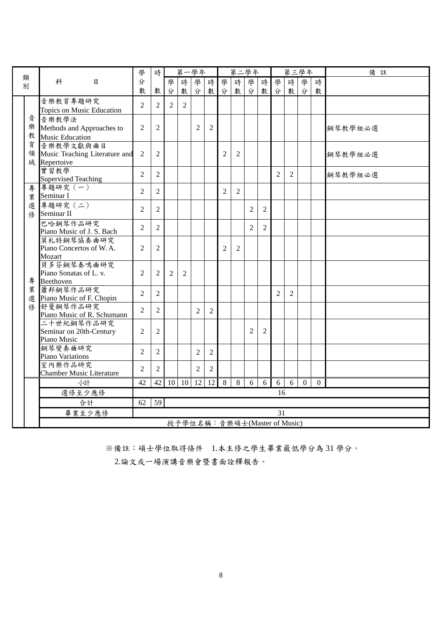| 類      |                                                            | 學              | 時              |                | 第一學年                         |                |                |                | 第二學年           |                |                |                | 第三學年           |                |                | 備註      |
|--------|------------------------------------------------------------|----------------|----------------|----------------|------------------------------|----------------|----------------|----------------|----------------|----------------|----------------|----------------|----------------|----------------|----------------|---------|
| 別      | 科<br>日                                                     | 分              |                | 學              | 時                            | 學              | 時              | 學              | 時              | 學              | 時              | 學              | 時              | 學              | 時              |         |
|        |                                                            | 數              | 數              | 分              | 數                            | 分              | 數              | 分              | 數              | 分              | 數              | 分              | 數              | 分              | 數              |         |
|        | 音樂教育專題研究<br>Topics on Music Education                      | $\overline{2}$ | 2              | $\mathfrak{D}$ | 2                            |                |                |                |                |                |                |                |                |                |                |         |
| 音<br>樂 | 音樂教學法<br>Methods and Approaches to                         | $\overline{2}$ | $\overline{2}$ |                |                              | 2              | $\overline{2}$ |                |                |                |                |                |                |                |                | 鋼琴教學組必選 |
|        | 教 Music Education                                          |                |                |                |                              |                |                |                |                |                |                |                |                |                |                |         |
| 育<br>領 | 音樂教學文獻與曲目<br>Music Teaching Literature and<br>域 Repertoive | $\overline{2}$ | $\overline{2}$ |                |                              |                |                | $\overline{2}$ | $\overline{2}$ |                |                |                |                |                |                | 鋼琴教學組必選 |
|        | 實習教學<br><b>Supervised Teaching</b>                         | $\overline{2}$ | $\overline{2}$ |                |                              |                |                |                |                |                |                | 2              | $\overline{2}$ |                |                | 鋼琴教學組必選 |
| 專<br>業 | 專題研究 (一)<br>Seminar I                                      | $\mathfrak{D}$ | $\overline{2}$ |                |                              |                |                | $\overline{2}$ | $\overline{2}$ |                |                |                |                |                |                |         |
| 選<br>俢 | 專題研究 (二)<br>Seminar II                                     | $\overline{2}$ | $\overline{2}$ |                |                              |                |                |                |                | $\overline{2}$ | $\overline{2}$ |                |                |                |                |         |
|        | 巴哈鋼琴作品研究<br>Piano Music of J. S. Bach                      | 2              | $\overline{2}$ |                |                              |                |                |                |                | $\overline{2}$ | $\overline{2}$ |                |                |                |                |         |
|        | 莫札特鋼琴協奏曲研究<br>Piano Concertos of W.A.<br>Mozart            | 2              | 2              |                |                              |                |                | 2              | $\mathfrak{2}$ |                |                |                |                |                |                |         |
| 專      | 貝多芬鋼琴奏鳴曲研究<br>Piano Sonatas of L. v.<br>Beethoven          | $\overline{2}$ | $\overline{2}$ | $\overline{2}$ | 2                            |                |                |                |                |                |                |                |                |                |                |         |
| 業      | 蕭邦鋼琴作品研究<br>選 Piano Music of F. Chopin                     | 2              | $\overline{2}$ |                |                              |                |                |                |                |                |                | $\mathfrak{D}$ | 2              |                |                |         |
| 俢      | 舒曼鋼琴作品研究<br>Piano Music of R. Schumann                     | $\overline{2}$ | $\overline{2}$ |                |                              | 2              | $\overline{2}$ |                |                |                |                |                |                |                |                |         |
|        | 二十世紀鋼琴作品研究<br>Seminar on 20th-Century<br>Piano Music       | $\overline{2}$ | $\overline{2}$ |                |                              |                |                |                |                | $\overline{2}$ | $\overline{2}$ |                |                |                |                |         |
|        | 鋼琴變奏曲研究<br>Piano Variations                                | $\overline{2}$ | $\overline{2}$ |                |                              | 2              | 2              |                |                |                |                |                |                |                |                |         |
|        | 室內樂作品研究<br><b>Chamber Music Literature</b>                 | 2              | $\overline{2}$ |                |                              | $\overline{2}$ | $\overline{2}$ |                |                |                |                |                |                |                |                |         |
|        | 小計                                                         | 42             | 42             |                | $10 \mid 10$                 | 12             | 12             | 8              | 8              | 6              | 6              | 6              | 6              | $\overline{0}$ | $\overline{0}$ |         |
|        | 選修至少應修                                                     |                |                |                |                              |                |                |                |                |                |                | 16             |                |                |                |         |
|        | 合計                                                         | 62             | 59             |                |                              |                |                |                |                |                |                |                |                |                |                |         |
|        | 畢業至少應修                                                     |                |                |                |                              |                |                |                |                |                |                | 31             |                |                |                |         |
|        |                                                            |                |                |                | 授予學位名稱:音樂碩士(Master of Music) |                |                |                |                |                |                |                |                |                |                |         |

※備註:碩士學位取得條件 1.本主修之學生畢業最低學分為 31 學分。

2.論文或一場演講音樂會暨書面詮釋報告。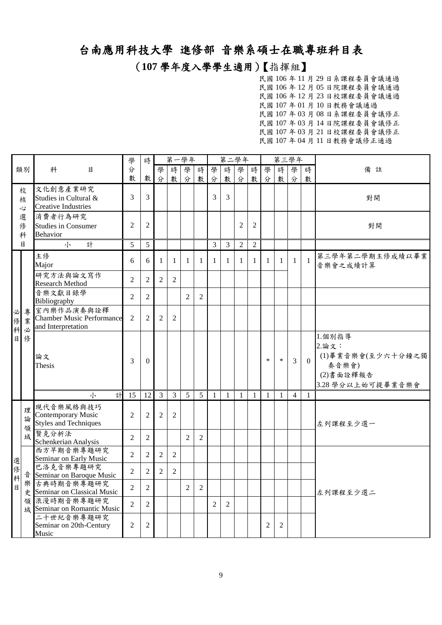(**107** 學年度入學學生適用)【指揮組】

|                |             |                                                                        | 學              | 時                |                | 第一學年           |                |                |                | 第二學年           |                |                |              | 第三學年         |                |              |                                                                                |
|----------------|-------------|------------------------------------------------------------------------|----------------|------------------|----------------|----------------|----------------|----------------|----------------|----------------|----------------|----------------|--------------|--------------|----------------|--------------|--------------------------------------------------------------------------------|
|                | 類別          | 科<br>目                                                                 | 分              |                  | 學              | 時              | 學              | 時              | 學              | 時              | 學              | 時              | 學            | 時            | 學              | 時            | 備註                                                                             |
|                |             |                                                                        | 數              | 數                | 分              | 數              | 分              | 數              | 分              | 數              | 分              | 數              | 分            | 數            | 分              | 數            |                                                                                |
|                | 校<br>核<br>心 | 文化創意產業研究<br>Studies in Cultural &<br><b>Creative Industries</b>        | 3              | 3                |                |                |                |                | 3              | 3              |                |                |              |              |                |              | 對開                                                                             |
|                | 選<br>俢<br>科 | 消費者行為研究<br><b>Studies in Consumer</b><br><b>Behavior</b>               | $\overline{2}$ | $\overline{2}$   |                |                |                |                |                |                | $\overline{2}$ | $\overline{2}$ |              |              |                |              | 對開                                                                             |
|                | 目           | 小<br>計                                                                 | 5              | 5                |                |                |                |                | $\overline{3}$ | $\overline{3}$ | $\overline{2}$ | $\overline{2}$ |              |              |                |              |                                                                                |
|                |             | 主修<br>Major                                                            | 6              | 6                | 1              | $\mathbf{1}$   | $\mathbf{1}$   | 1              | $\mathbf{1}$   | $\mathbf{1}$   | $\mathbf{1}$   | $\mathbf{1}$   | $\mathbf{1}$ | $\mathbf{1}$ | $\mathbf{1}$   | $\mathbf{1}$ | 第三學年第二學期主修成績以畢業<br>音樂會之成績計算                                                    |
|                |             | 研究方法與論文寫作<br><b>Research Method</b>                                    | $\overline{2}$ | $\overline{2}$   | $\overline{2}$ | $\overline{2}$ |                |                |                |                |                |                |              |              |                |              |                                                                                |
|                |             | 音樂文獻目錄學<br>Bibliography                                                | $\overline{2}$ | $\overline{2}$   |                |                | $\overline{2}$ | $\overline{2}$ |                |                |                |                |              |              |                |              |                                                                                |
| 必<br>俢<br>科    | 專<br>業<br>必 | 室內樂作品演奏與詮釋<br><b>Chamber Music Performance</b><br>and Interpretation   | 2              | $\overline{2}$   | 2              | 2              |                |                |                |                |                |                |              |              |                |              |                                                                                |
|                | 目修          | 論文<br>Thesis                                                           | 3              | $\boldsymbol{0}$ |                |                |                |                |                |                |                |                | $\ast$       | $\ast$       | $\overline{3}$ | $\Omega$     | 1.個別指導<br>2.論文:<br>(1)畢業音樂會(至少六十分鐘之獨<br>奏音樂會)<br>(2)書面詮釋報告<br>3.28學分以上始可提畢業音樂會 |
|                |             | 計<br>小                                                                 | 15             | 12               | $\overline{3}$ | $\overline{3}$ | 5              | 5 <sup>5</sup> | $\mathbf{1}$   | $\mathbf{1}$   | $\mathbf{1}$   | 1              | $\mathbf{1}$ | $\mathbf{1}$ | $\overline{4}$ | $\mathbf{1}$ |                                                                                |
|                | 理<br>論<br>領 | 現代音樂風格與技巧<br><b>Contemporary Music</b><br><b>Styles and Techniques</b> | $\overline{2}$ | $\mathfrak{2}$   | $\overline{2}$ | $\overline{2}$ |                |                |                |                |                |                |              |              |                |              | 左列課程至少選一                                                                       |
|                | 域           | 賢克分析法<br>Schenkerian Analysis                                          | $\overline{2}$ | $\mathbf{2}$     |                |                | $\overline{2}$ | $\overline{c}$ |                |                |                |                |              |              |                |              |                                                                                |
| 選              |             | 西方早期音樂專題研究<br>Seminar on Early Music                                   | $\overline{2}$ | $\overline{2}$   | $\overline{2}$ | $\overline{2}$ |                |                |                |                |                |                |              |              |                |              |                                                                                |
| 俢<br>科         | 音           | 巴洛克音樂專題研究<br>Seminar on Baroque Music                                  | $\overline{2}$ | $\overline{2}$   | $\overline{2}$ | $\overline{2}$ |                |                |                |                |                |                |              |              |                |              |                                                                                |
| $\overline{B}$ | 樂           | 古典時期音樂專題研究<br>史 Seminar on Classical Music                             | $\overline{2}$ | $\overline{2}$   |                |                | $\overline{2}$ | $\overline{2}$ |                |                |                |                |              |              |                |              | 左列課程至少選二                                                                       |
|                |             | 領浪漫時期音樂專題研究<br>域 Seminar on Romantic Music                             | $\overline{2}$ | $\overline{2}$   |                |                |                |                | $\overline{2}$ | $\overline{2}$ |                |                |              |              |                |              |                                                                                |
|                |             | 二十世紀音樂專題研究<br>Seminar on 20th-Century<br>Music                         | 2              | $\overline{2}$   |                |                |                |                |                |                |                |                | 2            | 2            |                |              |                                                                                |